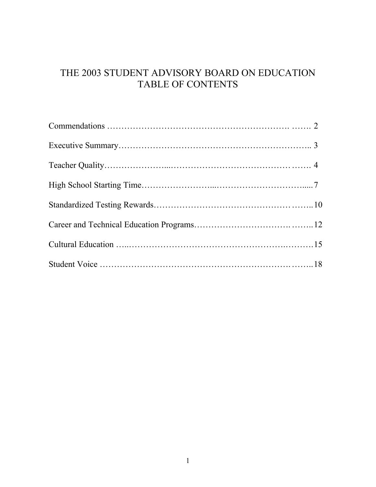# THE 2003 STUDENT ADVISORY BOARD ON EDUCATION TABLE OF CONTENTS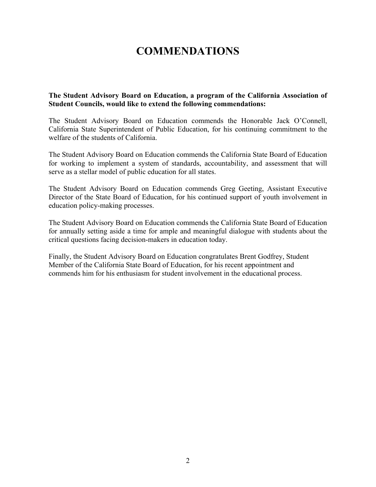# **COMMENDATIONS**

**The Student Advisory Board on Education, a program of the California Association of Student Councils, would like to extend the following commendations:**

The Student Advisory Board on Education commends the Honorable Jack O'Connell, California State Superintendent of Public Education, for his continuing commitment to the welfare of the students of California.

The Student Advisory Board on Education commends the California State Board of Education for working to implement a system of standards, accountability, and assessment that will serve as a stellar model of public education for all states.

The Student Advisory Board on Education commends Greg Geeting, Assistant Executive Director of the State Board of Education, for his continued support of youth involvement in education policy-making processes.

The Student Advisory Board on Education commends the California State Board of Education for annually setting aside a time for ample and meaningful dialogue with students about the critical questions facing decision-makers in education today.

Finally, the Student Advisory Board on Education congratulates Brent Godfrey, Student Member of the California State Board of Education, for his recent appointment and commends him for his enthusiasm for student involvement in the educational process.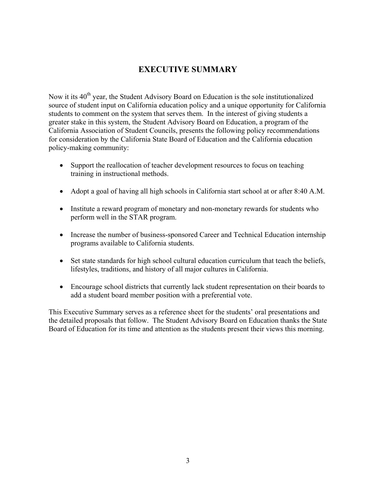# **EXECUTIVE SUMMARY**

Now it its  $40<sup>th</sup>$  year, the Student Advisory Board on Education is the sole institutionalized source of student input on California education policy and a unique opportunity for California students to comment on the system that serves them. In the interest of giving students a greater stake in this system, the Student Advisory Board on Education, a program of the California Association of Student Councils, presents the following policy recommendations for consideration by the California State Board of Education and the California education policy-making community:

- Support the reallocation of teacher development resources to focus on teaching training in instructional methods.
- Adopt a goal of having all high schools in California start school at or after 8:40 A.M.
- Institute a reward program of monetary and non-monetary rewards for students who perform well in the STAR program.
- Increase the number of business-sponsored Career and Technical Education internship programs available to California students.
- Set state standards for high school cultural education curriculum that teach the beliefs, lifestyles, traditions, and history of all major cultures in California.
- Encourage school districts that currently lack student representation on their boards to add a student board member position with a preferential vote.

This Executive Summary serves as a reference sheet for the students' oral presentations and the detailed proposals that follow. The Student Advisory Board on Education thanks the State Board of Education for its time and attention as the students present their views this morning.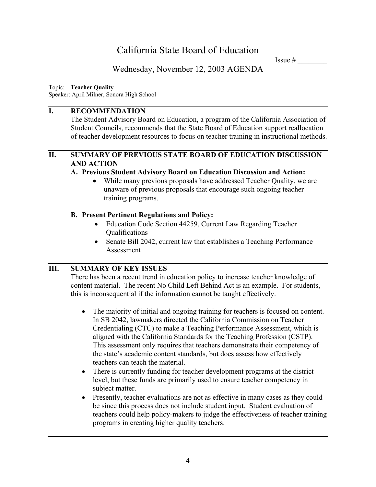Issue  $#$ 

# Wednesday, November 12, 2003 AGENDA

Topic: **Teacher Quality** 

Speaker: April Milner, Sonora High School

## **I. RECOMMENDATION**

The Student Advisory Board on Education, a program of the California Association of Student Councils, recommends that the State Board of Education support reallocation of teacher development resources to focus on teacher training in instructional methods.

## **II. SUMMARY OF PREVIOUS STATE BOARD OF EDUCATION DISCUSSION AND ACTION**

#### **A. Previous Student Advisory Board on Education Discussion and Action:**

• While many previous proposals have addressed Teacher Quality, we are unaware of previous proposals that encourage such ongoing teacher training programs.

## **B. Present Pertinent Regulations and Policy:**

- Education Code Section 44259, Current Law Regarding Teacher Qualifications
- Senate Bill 2042, current law that establishes a Teaching Performance Assessment

## **III. SUMMARY OF KEY ISSUES**

There has been a recent trend in education policy to increase teacher knowledge of content material. The recent No Child Left Behind Act is an example. For students, this is inconsequential if the information cannot be taught effectively.

- The majority of initial and ongoing training for teachers is focused on content. In SB 2042, lawmakers directed the California Commission on Teacher Credentialing (CTC) to make a Teaching Performance Assessment, which is aligned with the California Standards for the Teaching Profession (CSTP). This assessment only requires that teachers demonstrate their competency of the state's academic content standards, but does assess how effectively teachers can teach the material.
- There is currently funding for teacher development programs at the district level, but these funds are primarily used to ensure teacher competency in subject matter.
- Presently, teacher evaluations are not as effective in many cases as they could be since this process does not include student input. Student evaluation of teachers could help policy-makers to judge the effectiveness of teacher training programs in creating higher quality teachers.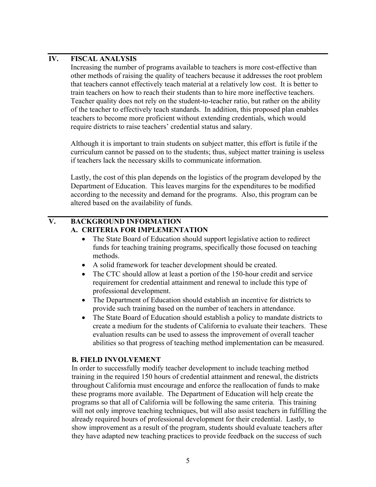## **IV. FISCAL ANALYSIS**

Increasing the number of programs available to teachers is more cost-effective than other methods of raising the quality of teachers because it addresses the root problem that teachers cannot effectively teach material at a relatively low cost. It is better to train teachers on how to reach their students than to hire more ineffective teachers. Teacher quality does not rely on the student-to-teacher ratio, but rather on the ability of the teacher to effectively teach standards. In addition, this proposed plan enables teachers to become more proficient without extending credentials, which would require districts to raise teachers' credential status and salary.

Although it is important to train students on subject matter, this effort is futile if the curriculum cannot be passed on to the students; thus, subject matter training is useless if teachers lack the necessary skills to communicate information.

Lastly, the cost of this plan depends on the logistics of the program developed by the Department of Education. This leaves margins for the expenditures to be modified according to the necessity and demand for the programs. Also, this program can be altered based on the availability of funds.

## **V. BACKGROUND INFORMATION A. CRITERIA FOR IMPLEMENTATION**

- The State Board of Education should support legislative action to redirect funds for teaching training programs, specifically those focused on teaching methods.
- A solid framework for teacher development should be created.
- The CTC should allow at least a portion of the 150-hour credit and service requirement for credential attainment and renewal to include this type of professional development.
- The Department of Education should establish an incentive for districts to provide such training based on the number of teachers in attendance.
- The State Board of Education should establish a policy to mandate districts to create a medium for the students of California to evaluate their teachers. These evaluation results can be used to assess the improvement of overall teacher abilities so that progress of teaching method implementation can be measured.

## **B. FIELD INVOLVEMENT**

In order to successfully modify teacher development to include teaching method training in the required 150 hours of credential attainment and renewal, the districts throughout California must encourage and enforce the reallocation of funds to make these programs more available. The Department of Education will help create the programs so that all of California will be following the same criteria. This training will not only improve teaching techniques, but will also assist teachers in fulfilling the already required hours of professional development for their credential. Lastly, to show improvement as a result of the program, students should evaluate teachers after they have adapted new teaching practices to provide feedback on the success of such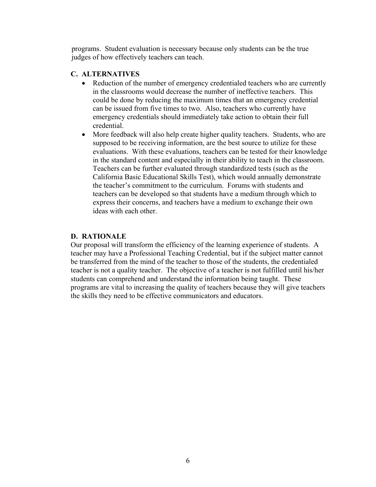programs. Student evaluation is necessary because only students can be the true judges of how effectively teachers can teach.

#### **C. ALTERNATIVES**

- Reduction of the number of emergency credentialed teachers who are currently in the classrooms would decrease the number of ineffective teachers. This could be done by reducing the maximum times that an emergency credential can be issued from five times to two. Also, teachers who currently have emergency credentials should immediately take action to obtain their full credential.
- More feedback will also help create higher quality teachers. Students, who are supposed to be receiving information, are the best source to utilize for these evaluations. With these evaluations, teachers can be tested for their knowledge in the standard content and especially in their ability to teach in the classroom. Teachers can be further evaluated through standardized tests (such as the California Basic Educational Skills Test), which would annually demonstrate the teacher's commitment to the curriculum. Forums with students and teachers can be developed so that students have a medium through which to express their concerns, and teachers have a medium to exchange their own ideas with each other.

#### **D. RATIONALE**

Our proposal will transform the efficiency of the learning experience of students. A teacher may have a Professional Teaching Credential, but if the subject matter cannot be transferred from the mind of the teacher to those of the students, the credentialed teacher is not a quality teacher. The objective of a teacher is not fulfilled until his/her students can comprehend and understand the information being taught. These programs are vital to increasing the quality of teachers because they will give teachers the skills they need to be effective communicators and educators.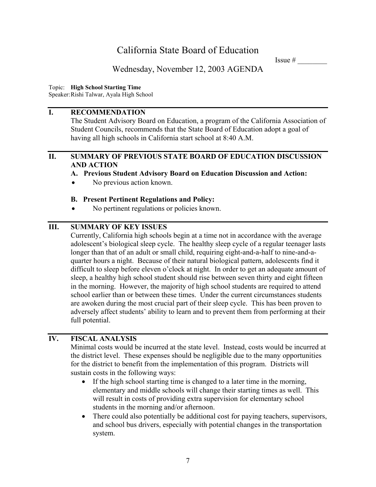Issue  $#$ 

# Wednesday, November 12, 2003 AGENDA

Topic: **High School Starting Time**

Speaker:Rishi Talwar, Ayala High School

### **I. RECOMMENDATION**

The Student Advisory Board on Education, a program of the California Association of Student Councils, recommends that the State Board of Education adopt a goal of having all high schools in California start school at 8:40 A.M.

## **II. SUMMARY OF PREVIOUS STATE BOARD OF EDUCATION DISCUSSION AND ACTION**

**A. Previous Student Advisory Board on Education Discussion and Action:** 

• No previous action known.

## **B. Present Pertinent Regulations and Policy:**

• No pertinent regulations or policies known.

## **III. SUMMARY OF KEY ISSUES**

Currently, California high schools begin at a time not in accordance with the average adolescent's biological sleep cycle. The healthy sleep cycle of a regular teenager lasts longer than that of an adult or small child, requiring eight-and-a-half to nine-and-aquarter hours a night. Because of their natural biological pattern, adolescents find it difficult to sleep before eleven o'clock at night. In order to get an adequate amount of sleep, a healthy high school student should rise between seven thirty and eight fifteen in the morning. However, the majority of high school students are required to attend school earlier than or between these times. Under the current circumstances students are awoken during the most crucial part of their sleep cycle. This has been proven to adversely affect students' ability to learn and to prevent them from performing at their full potential.

## **IV. FISCAL ANALYSIS**

Minimal costs would be incurred at the state level. Instead, costs would be incurred at the district level. These expenses should be negligible due to the many opportunities for the district to benefit from the implementation of this program. Districts will sustain costs in the following ways:

- If the high school starting time is changed to a later time in the morning, elementary and middle schools will change their starting times as well. This will result in costs of providing extra supervision for elementary school students in the morning and/or afternoon.
- There could also potentially be additional cost for paying teachers, supervisors, and school bus drivers, especially with potential changes in the transportation system.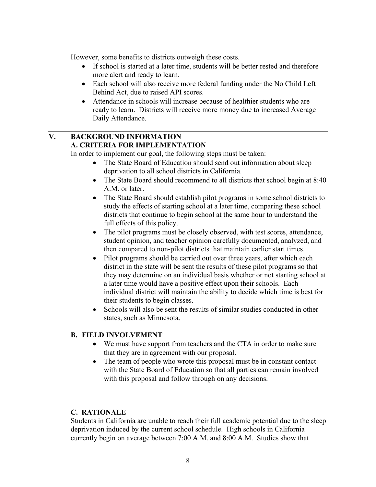However, some benefits to districts outweigh these costs.

- If school is started at a later time, students will be better rested and therefore more alert and ready to learn.
- Each school will also receive more federal funding under the No Child Left Behind Act, due to raised API scores.
- Attendance in schools will increase because of healthier students who are ready to learn. Districts will receive more money due to increased Average Daily Attendance.

## **V. BACKGROUND INFORMATION A. CRITERIA FOR IMPLEMENTATION**

In order to implement our goal, the following steps must be taken:

- The State Board of Education should send out information about sleep deprivation to all school districts in California.
- The State Board should recommend to all districts that school begin at 8:40 A.M. or later.
- The State Board should establish pilot programs in some school districts to study the effects of starting school at a later time, comparing these school districts that continue to begin school at the same hour to understand the full effects of this policy.
- The pilot programs must be closely observed, with test scores, attendance, student opinion, and teacher opinion carefully documented, analyzed, and then compared to non-pilot districts that maintain earlier start times.
- Pilot programs should be carried out over three years, after which each district in the state will be sent the results of these pilot programs so that they may determine on an individual basis whether or not starting school at a later time would have a positive effect upon their schools. Each individual district will maintain the ability to decide which time is best for their students to begin classes.
- Schools will also be sent the results of similar studies conducted in other states, such as Minnesota.

## **B. FIELD INVOLVEMENT**

- We must have support from teachers and the CTA in order to make sure that they are in agreement with our proposal.
- The team of people who wrote this proposal must be in constant contact with the State Board of Education so that all parties can remain involved with this proposal and follow through on any decisions.

## **C. RATIONALE**

Students in California are unable to reach their full academic potential due to the sleep deprivation induced by the current school schedule. High schools in California currently begin on average between 7:00 A.M. and 8:00 A.M. Studies show that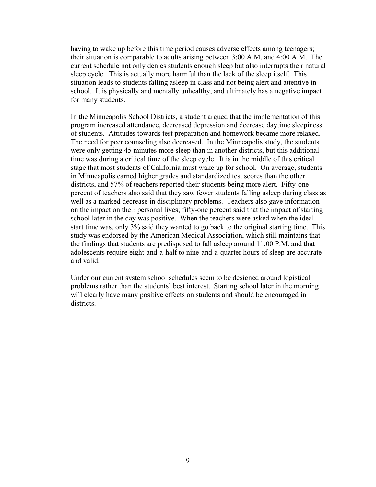having to wake up before this time period causes adverse effects among teenagers; their situation is comparable to adults arising between 3:00 A.M. and 4:00 A.M. The current schedule not only denies students enough sleep but also interrupts their natural sleep cycle. This is actually more harmful than the lack of the sleep itself. This situation leads to students falling asleep in class and not being alert and attentive in school. It is physically and mentally unhealthy, and ultimately has a negative impact for many students.

In the Minneapolis School Districts, a student argued that the implementation of this program increased attendance, decreased depression and decrease daytime sleepiness of students. Attitudes towards test preparation and homework became more relaxed. The need for peer counseling also decreased. In the Minneapolis study, the students were only getting 45 minutes more sleep than in another districts, but this additional time was during a critical time of the sleep cycle. It is in the middle of this critical stage that most students of California must wake up for school. On average, students in Minneapolis earned higher grades and standardized test scores than the other districts, and 57% of teachers reported their students being more alert. Fifty-one percent of teachers also said that they saw fewer students falling asleep during class as well as a marked decrease in disciplinary problems. Teachers also gave information on the impact on their personal lives; fifty-one percent said that the impact of starting school later in the day was positive. When the teachers were asked when the ideal start time was, only 3% said they wanted to go back to the original starting time. This study was endorsed by the American Medical Association, which still maintains that the findings that students are predisposed to fall asleep around 11:00 P.M. and that adolescents require eight-and-a-half to nine-and-a-quarter hours of sleep are accurate and valid.

Under our current system school schedules seem to be designed around logistical problems rather than the students' best interest. Starting school later in the morning will clearly have many positive effects on students and should be encouraged in districts.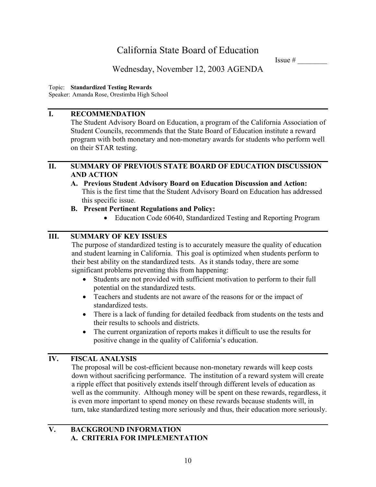Issue  $#$ 

## Wednesday, November 12, 2003 AGENDA

#### Topic: **Standardized Testing Rewards**

Speaker: Amanda Rose, Orestimba High School

#### **I. RECOMMENDATION**

The Student Advisory Board on Education, a program of the California Association of Student Councils, recommends that the State Board of Education institute a reward program with both monetary and non-monetary awards for students who perform well on their STAR testing.

#### **II. SUMMARY OF PREVIOUS STATE BOARD OF EDUCATION DISCUSSION AND ACTION**

#### **A. Previous Student Advisory Board on Education Discussion and Action:**  This is the first time that the Student Advisory Board on Education has addressed this specific issue.

#### **B. Present Pertinent Regulations and Policy:**

• Education Code 60640, Standardized Testing and Reporting Program

## **III. SUMMARY OF KEY ISSUES**

The purpose of standardized testing is to accurately measure the quality of education and student learning in California. This goal is optimized when students perform to their best ability on the standardized tests. As it stands today, there are some significant problems preventing this from happening:

- Students are not provided with sufficient motivation to perform to their full potential on the standardized tests.
- Teachers and students are not aware of the reasons for or the impact of standardized tests.
- There is a lack of funding for detailed feedback from students on the tests and their results to schools and districts.
- The current organization of reports makes it difficult to use the results for positive change in the quality of California's education.

## **IV. FISCAL ANALYSIS**

The proposal will be cost-efficient because non-monetary rewards will keep costs down without sacrificing performance. The institution of a reward system will create a ripple effect that positively extends itself through different levels of education as well as the community. Although money will be spent on these rewards, regardless, it is even more important to spend money on these rewards because students will, in turn, take standardized testing more seriously and thus, their education more seriously.

#### **V. BACKGROUND INFORMATION A. CRITERIA FOR IMPLEMENTATION**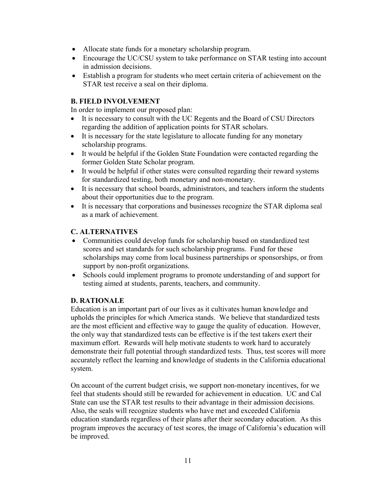- Allocate state funds for a monetary scholarship program.
- Encourage the UC/CSU system to take performance on STAR testing into account in admission decisions.
- Establish a program for students who meet certain criteria of achievement on the STAR test receive a seal on their diploma.

#### **B. FIELD INVOLVEMENT**

In order to implement our proposed plan:

- It is necessary to consult with the UC Regents and the Board of CSU Directors regarding the addition of application points for STAR scholars.
- It is necessary for the state legislature to allocate funding for any monetary scholarship programs.
- It would be helpful if the Golden State Foundation were contacted regarding the former Golden State Scholar program.
- It would be helpful if other states were consulted regarding their reward systems for standardized testing, both monetary and non-monetary.
- It is necessary that school boards, administrators, and teachers inform the students about their opportunities due to the program.
- It is necessary that corporations and businesses recognize the STAR diploma seal as a mark of achievement.

#### **C. ALTERNATIVES**

- Communities could develop funds for scholarship based on standardized test scores and set standards for such scholarship programs. Fund for these scholarships may come from local business partnerships or sponsorships, or from support by non-profit organizations.
- Schools could implement programs to promote understanding of and support for testing aimed at students, parents, teachers, and community.

#### **D. RATIONALE**

Education is an important part of our lives as it cultivates human knowledge and upholds the principles for which America stands. We believe that standardized tests are the most efficient and effective way to gauge the quality of education. However, the only way that standardized tests can be effective is if the test takers exert their maximum effort. Rewards will help motivate students to work hard to accurately demonstrate their full potential through standardized tests. Thus, test scores will more accurately reflect the learning and knowledge of students in the California educational system.

On account of the current budget crisis, we support non-monetary incentives, for we feel that students should still be rewarded for achievement in education. UC and Cal State can use the STAR test results to their advantage in their admission decisions. Also, the seals will recognize students who have met and exceeded California education standards regardless of their plans after their secondary education. As this program improves the accuracy of test scores, the image of California's education will be improved.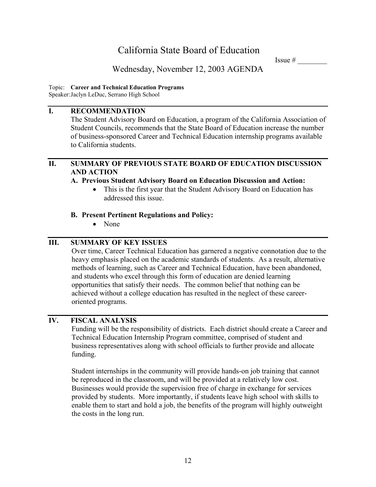Issue  $#$ 

## Wednesday, November 12, 2003 AGENDA

#### Topic: **Career and Technical Education Programs**  Speaker:Jaclyn LeDuc, Serrano High School

#### **I. RECOMMENDATION**

The Student Advisory Board on Education, a program of the California Association of Student Councils, recommends that the State Board of Education increase the number of business-sponsored Career and Technical Education internship programs available to California students.

#### **II. SUMMARY OF PREVIOUS STATE BOARD OF EDUCATION DISCUSSION AND ACTION**

#### **A. Previous Student Advisory Board on Education Discussion and Action:**

• This is the first year that the Student Advisory Board on Education has addressed this issue.

#### **B. Present Pertinent Regulations and Policy:**

• None

#### **III. SUMMARY OF KEY ISSUES**

Over time, Career Technical Education has garnered a negative connotation due to the heavy emphasis placed on the academic standards of students. As a result, alternative methods of learning, such as Career and Technical Education, have been abandoned, and students who excel through this form of education are denied learning opportunities that satisfy their needs. The common belief that nothing can be achieved without a college education has resulted in the neglect of these careeroriented programs.

#### **IV. FISCAL ANALYSIS**

Funding will be the responsibility of districts. Each district should create a Career and Technical Education Internship Program committee, comprised of student and business representatives along with school officials to further provide and allocate funding.

Student internships in the community will provide hands-on job training that cannot be reproduced in the classroom, and will be provided at a relatively low cost. Businesses would provide the supervision free of charge in exchange for services provided by students. More importantly, if students leave high school with skills to enable them to start and hold a job, the benefits of the program will highly outweight the costs in the long run.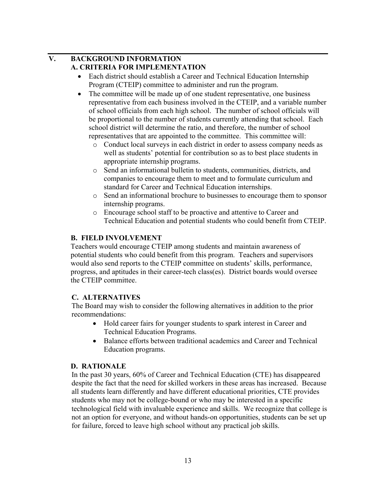## **V. BACKGROUND INFORMATION A. CRITERIA FOR IMPLEMENTATION**

- Each district should establish a Career and Technical Education Internship Program (CTEIP) committee to administer and run the program.
- The committee will be made up of one student representative, one business representative from each business involved in the CTEIP, and a variable number of school officials from each high school. The number of school officials will be proportional to the number of students currently attending that school. Each school district will determine the ratio, and therefore, the number of school representatives that are appointed to the committee. This committee will:
	- o Conduct local surveys in each district in order to assess company needs as well as students' potential for contribution so as to best place students in appropriate internship programs.
	- o Send an informational bulletin to students, communities, districts, and companies to encourage them to meet and to formulate curriculum and standard for Career and Technical Education internships.
	- o Send an informational brochure to businesses to encourage them to sponsor internship programs.
	- o Encourage school staff to be proactive and attentive to Career and Technical Education and potential students who could benefit from CTEIP.

## **B. FIELD INVOLVEMENT**

Teachers would encourage CTEIP among students and maintain awareness of potential students who could benefit from this program. Teachers and supervisors would also send reports to the CTEIP committee on students' skills, performance, progress, and aptitudes in their career-tech class(es). District boards would oversee the CTEIP committee.

## **C. ALTERNATIVES**

The Board may wish to consider the following alternatives in addition to the prior recommendations:

- Hold career fairs for younger students to spark interest in Career and Technical Education Programs.
- Balance efforts between traditional academics and Career and Technical Education programs.

## **D. RATIONALE**

In the past 30 years, 60% of Career and Technical Education (CTE) has disappeared despite the fact that the need for skilled workers in these areas has increased. Because all students learn differently and have different educational priorities, CTE provides students who may not be college-bound or who may be interested in a specific technological field with invaluable experience and skills. We recognize that college is not an option for everyone, and without hands-on opportunities, students can be set up for failure, forced to leave high school without any practical job skills.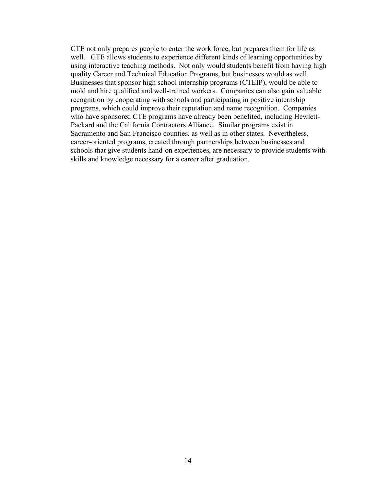CTE not only prepares people to enter the work force, but prepares them for life as well. CTE allows students to experience different kinds of learning opportunities by using interactive teaching methods. Not only would students benefit from having high quality Career and Technical Education Programs, but businesses would as well. Businesses that sponsor high school internship programs (CTEIP), would be able to mold and hire qualified and well-trained workers. Companies can also gain valuable recognition by cooperating with schools and participating in positive internship programs, which could improve their reputation and name recognition. Companies who have sponsored CTE programs have already been benefited, including Hewlett-Packard and the California Contractors Alliance. Similar programs exist in Sacramento and San Francisco counties, as well as in other states. Nevertheless, career-oriented programs, created through partnerships between businesses and schools that give students hand-on experiences, are necessary to provide students with skills and knowledge necessary for a career after graduation.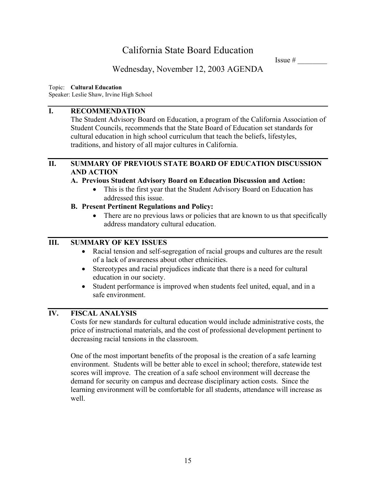Issue  $#$ 

# Wednesday, November 12, 2003 AGENDA

#### Topic: **Cultural Education**

Speaker: Leslie Shaw, Irvine High School

## **I. RECOMMENDATION**

The Student Advisory Board on Education, a program of the California Association of Student Councils, recommends that the State Board of Education set standards for cultural education in high school curriculum that teach the beliefs, lifestyles, traditions, and history of all major cultures in California.

### **II. SUMMARY OF PREVIOUS STATE BOARD OF EDUCATION DISCUSSION AND ACTION**

#### **A. Previous Student Advisory Board on Education Discussion and Action:**

• This is the first year that the Student Advisory Board on Education has addressed this issue.

#### **B. Present Pertinent Regulations and Policy:**

• There are no previous laws or policies that are known to us that specifically address mandatory cultural education.

## **III. SUMMARY OF KEY ISSUES**

- Racial tension and self-segregation of racial groups and cultures are the result of a lack of awareness about other ethnicities.
- Stereotypes and racial prejudices indicate that there is a need for cultural education in our society.
- Student performance is improved when students feel united, equal, and in a safe environment.

## **IV. FISCAL ANALYSIS**

Costs for new standards for cultural education would include administrative costs, the price of instructional materials, and the cost of professional development pertinent to decreasing racial tensions in the classroom.

One of the most important benefits of the proposal is the creation of a safe learning environment. Students will be better able to excel in school; therefore, statewide test scores will improve. The creation of a safe school environment will decrease the demand for security on campus and decrease disciplinary action costs. Since the learning environment will be comfortable for all students, attendance will increase as well.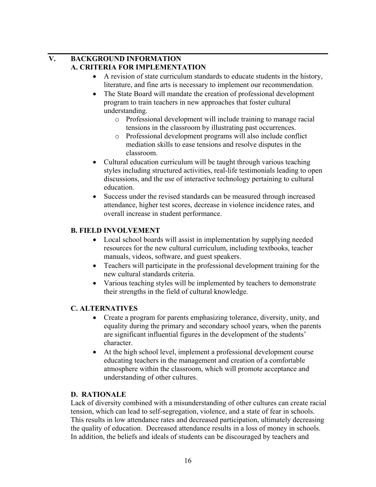## **V. BACKGROUND INFORMATION A. CRITERIA FOR IMPLEMENTATION**

- A revision of state curriculum standards to educate students in the history, literature, and fine arts is necessary to implement our recommendation.
- The State Board will mandate the creation of professional development program to train teachers in new approaches that foster cultural understanding.
	- o Professional development will include training to manage racial tensions in the classroom by illustrating past occurrences.
	- o Professional development programs will also include conflict mediation skills to ease tensions and resolve disputes in the classroom.
- Cultural education curriculum will be taught through various teaching styles including structured activities, real-life testimonials leading to open discussions, and the use of interactive technology pertaining to cultural education.
- Success under the revised standards can be measured through increased attendance, higher test scores, decrease in violence incidence rates, and overall increase in student performance.

## **B. FIELD INVOLVEMENT**

- Local school boards will assist in implementation by supplying needed resources for the new cultural curriculum, including textbooks, teacher manuals, videos, software, and guest speakers.
- Teachers will participate in the professional development training for the new cultural standards criteria.
- Various teaching styles will be implemented by teachers to demonstrate their strengths in the field of cultural knowledge.

## **C. ALTERNATIVES**

- Create a program for parents emphasizing tolerance, diversity, unity, and equality during the primary and secondary school years, when the parents are significant influential figures in the development of the students' character.
- At the high school level, implement a professional development course educating teachers in the management and creation of a comfortable atmosphere within the classroom, which will promote acceptance and understanding of other cultures.

## **D. RATIONALE**

Lack of diversity combined with a misunderstanding of other cultures can create racial tension, which can lead to self-segregation, violence, and a state of fear in schools. This results in low attendance rates and decreased participation, ultimately decreasing the quality of education. Decreased attendance results in a loss of money in schools. In addition, the beliefs and ideals of students can be discouraged by teachers and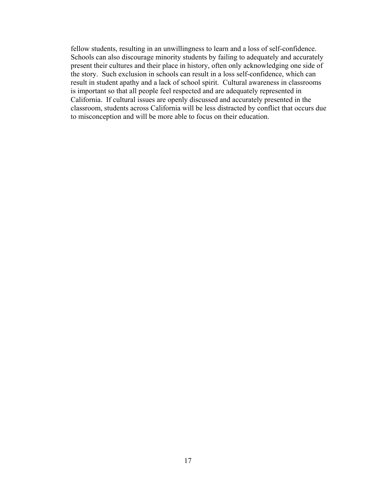fellow students, resulting in an unwillingness to learn and a loss of self-confidence. Schools can also discourage minority students by failing to adequately and accurately present their cultures and their place in history, often only acknowledging one side of the story. Such exclusion in schools can result in a loss self-confidence, which can result in student apathy and a lack of school spirit. Cultural awareness in classrooms is important so that all people feel respected and are adequately represented in California. If cultural issues are openly discussed and accurately presented in the classroom, students across California will be less distracted by conflict that occurs due to misconception and will be more able to focus on their education.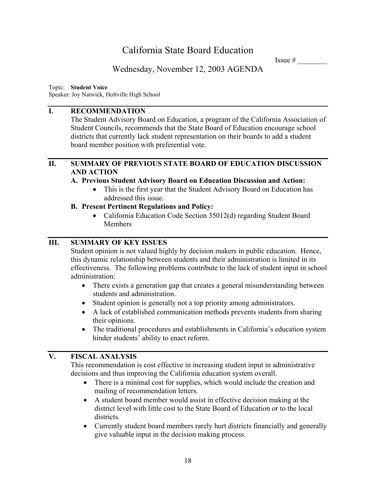Issue  $#$ 

# Wednesday, November 12, 2003 AGENDA

Topic: **Student Voice** Speaker: Joy Natwick, Holtville High School

### **I. RECOMMENDATION**

The Student Advisory Board on Education, a program of the California Association of Student Councils, recommends that the State Board of Education encourage school districts that currently lack student representation on their boards to add a student board member position with preferential vote.

#### **II. SUMMARY OF PREVIOUS STATE BOARD OF EDUCATION DISCUSSION AND ACTION**

## **A. Previous Student Advisory Board on Education Discussion and Action:**

• This is the first year that the Student Advisory Board on Education has addressed this issue.

## **B. Present Pertinent Regulations and Policy:**

• California Education Code Section 35012(d) regarding Student Board Members

## **III. SUMMARY OF KEY ISSUES**

Student opinion is not valued highly by decision makers in public education. Hence, this dynamic relationship between students and their administration is limited in its effectiveness. The following problems contribute to the lack of student input in school administration:

- There exists a generation gap that creates a general misunderstanding between students and administration.
- Student opinion is generally not a top priority among administrators.
- A lack of established communication methods prevents students from sharing their opinions.
- The traditional procedures and establishments in California's education system hinder students' ability to enact reform.

## **V. FISCAL ANALYSIS**

This recommendation is cost effective in increasing student input in administrative decisions and thus improving the California education system overall.

- There is a minimal cost for supplies, which would include the creation and mailing of recommendation letters.
- A student board member would assist in effective decision making at the district level with little cost to the State Board of Education or to the local districts.
- Currently student board members rarely hurt districts financially and generally give valuable input in the decision making process.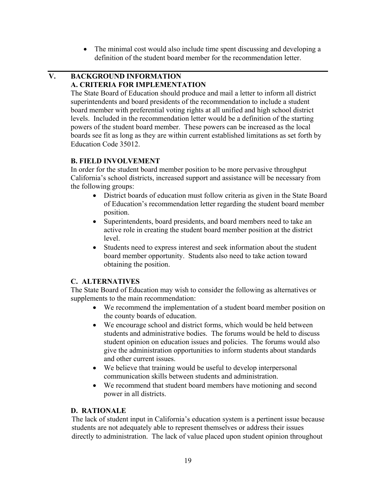• The minimal cost would also include time spent discussing and developing a definition of the student board member for the recommendation letter.

## **V. BACKGROUND INFORMATION A. CRITERIA FOR IMPLEMENTATION**

The State Board of Education should produce and mail a letter to inform all district superintendents and board presidents of the recommendation to include a student board member with preferential voting rights at all unified and high school district levels. Included in the recommendation letter would be a definition of the starting powers of the student board member. These powers can be increased as the local boards see fit as long as they are within current established limitations as set forth by Education Code 35012.

## **B. FIELD INVOLVEMENT**

In order for the student board member position to be more pervasive throughput California's school districts, increased support and assistance will be necessary from the following groups:

- District boards of education must follow criteria as given in the State Board of Education's recommendation letter regarding the student board member position.
- Superintendents, board presidents, and board members need to take an active role in creating the student board member position at the district level.
- Students need to express interest and seek information about the student board member opportunity. Students also need to take action toward obtaining the position.

## **C. ALTERNATIVES**

The State Board of Education may wish to consider the following as alternatives or supplements to the main recommendation:

- We recommend the implementation of a student board member position on the county boards of education.
- We encourage school and district forms, which would be held between students and administrative bodies. The forums would be held to discuss student opinion on education issues and policies. The forums would also give the administration opportunities to inform students about standards and other current issues.
- We believe that training would be useful to develop interpersonal communication skills between students and administration.
- We recommend that student board members have motioning and second power in all districts.

#### **D. RATIONALE**

The lack of student input in California's education system is a pertinent issue because students are not adequately able to represent themselves or address their issues directly to administration. The lack of value placed upon student opinion throughout